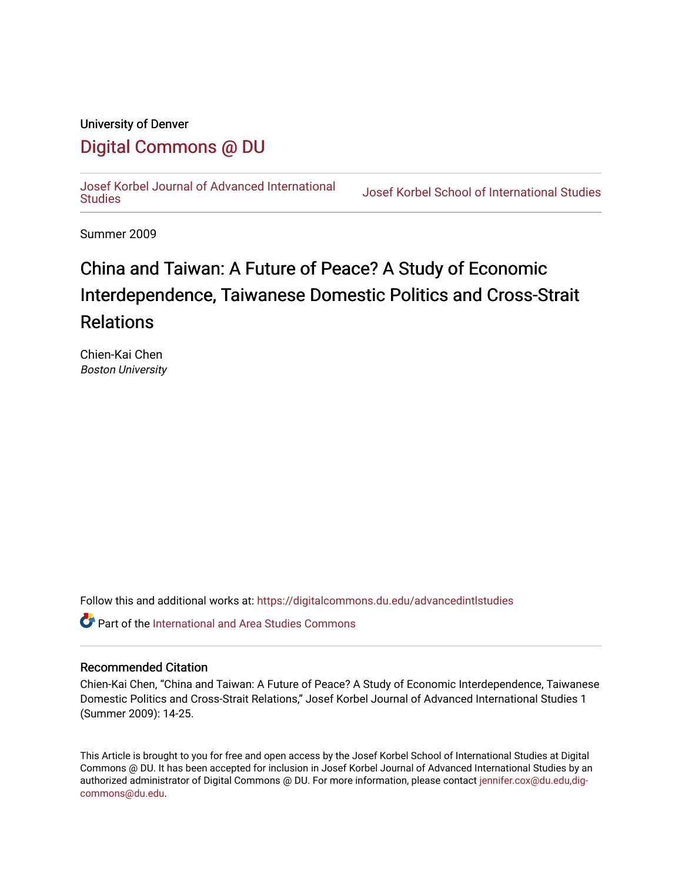## University of Denver

# [Digital Commons @ DU](https://digitalcommons.du.edu/)

[Josef Korbel Journal of Advanced International](https://digitalcommons.du.edu/advancedintlstudies) 

**Josef Korbel School of International Studies** 

Summer 2009

# China and Taiwan: A Future of Peace? A Study of Economic Interdependence, Taiwanese Domestic Politics and Cross-Strait Relations

Chien-Kai Chen Boston University

Follow this and additional works at: [https://digitalcommons.du.edu/advancedintlstudies](https://digitalcommons.du.edu/advancedintlstudies?utm_source=digitalcommons.du.edu%2Fadvancedintlstudies%2F20&utm_medium=PDF&utm_campaign=PDFCoverPages)

**C** Part of the International and Area Studies Commons

#### Recommended Citation

Chien-Kai Chen, "China and Taiwan: A Future of Peace? A Study of Economic Interdependence, Taiwanese Domestic Politics and Cross-Strait Relations," Josef Korbel Journal of Advanced International Studies 1 (Summer 2009): 14-25.

This Article is brought to you for free and open access by the Josef Korbel School of International Studies at Digital Commons @ DU. It has been accepted for inclusion in Josef Korbel Journal of Advanced International Studies by an authorized administrator of Digital Commons @ DU. For more information, please contact [jennifer.cox@du.edu,dig](mailto:jennifer.cox@du.edu,dig-commons@du.edu)[commons@du.edu.](mailto:jennifer.cox@du.edu,dig-commons@du.edu)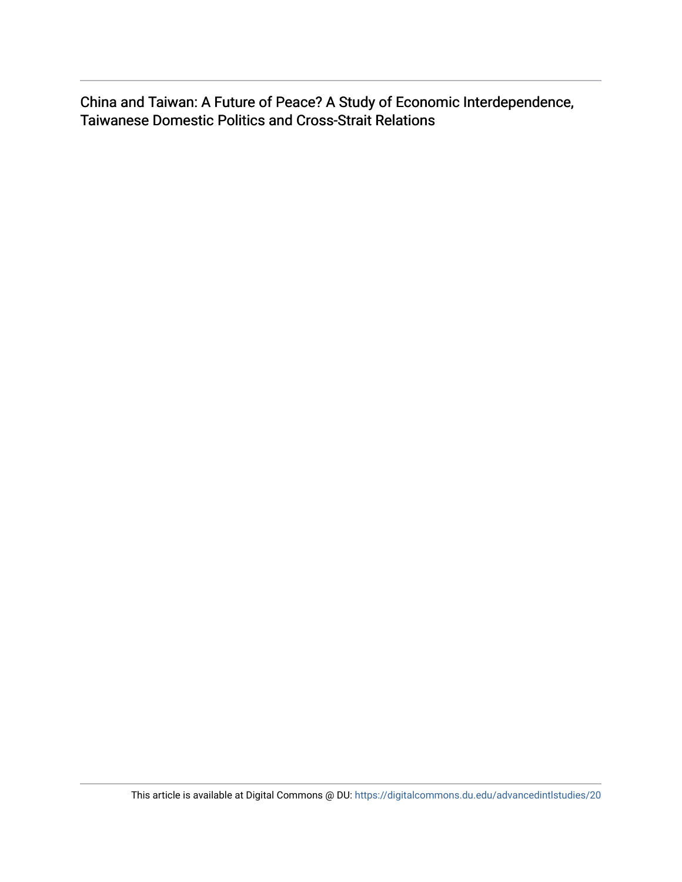China and Taiwan: A Future of Peace? A Study of Economic Interdependence, Taiwanese Domestic Politics and Cross-Strait Relations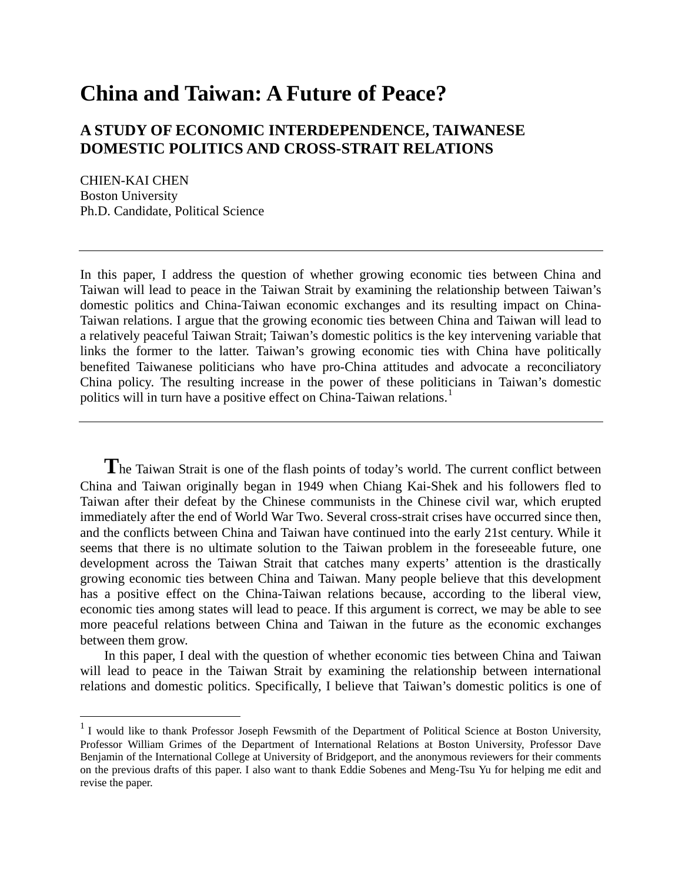# **China and Taiwan: A Future of Peace?**

## **A STUDY OF ECONOMIC INTERDEPENDENCE, TAIWANESE DOMESTIC POLITICS AND CROSS-STRAIT RELATIONS**

CHIEN-KAI CHEN Boston University Ph.D. Candidate, Political Science

In this paper, I address the question of whether growing economic ties between China and Taiwan will lead to peace in the Taiwan Strait by examining the relationship between Taiwan's domestic politics and China-Taiwan economic exchanges and its resulting impact on China-Taiwan relations. I argue that the growing economic ties between China and Taiwan will lead to a relatively peaceful Taiwan Strait; Taiwan's domestic politics is the key intervening variable that links the former to the latter. Taiwan's growing economic ties with China have politically benefited Taiwanese politicians who have pro-China attitudes and advocate a reconciliatory China policy. The resulting increase in the power of these politicians in Taiwan's domestic politics will in turn have a positive effect on China-Taiwan relations.<sup>[1](#page-2-0)</sup>

**T**he Taiwan Strait is one of the flash points of today's world. The current conflict between China and Taiwan originally began in 1949 when Chiang Kai-Shek and his followers fled to Taiwan after their defeat by the Chinese communists in the Chinese civil war, which erupted immediately after the end of World War Two. Several cross-strait crises have occurred since then, and the conflicts between China and Taiwan have continued into the early 21st century. While it seems that there is no ultimate solution to the Taiwan problem in the foreseeable future, one development across the Taiwan Strait that catches many experts' attention is the drastically growing economic ties between China and Taiwan. Many people believe that this development has a positive effect on the China-Taiwan relations because, according to the liberal view, economic ties among states will lead to peace. If this argument is correct, we may be able to see more peaceful relations between China and Taiwan in the future as the economic exchanges between them grow.

In this paper, I deal with the question of whether economic ties between China and Taiwan will lead to peace in the Taiwan Strait by examining the relationship between international relations and domestic politics. Specifically, I believe that Taiwan's domestic politics is one of

<span id="page-2-0"></span><sup>&</sup>lt;sup>1</sup> I would like to thank Professor Joseph Fewsmith of the Department of Political Science at Boston University, Professor William Grimes of the Department of International Relations at Boston University, Professor Dave Benjamin of the International College at University of Bridgeport, and the anonymous reviewers for their comments on the previous drafts of this paper. I also want to thank Eddie Sobenes and Meng-Tsu Yu for helping me edit and revise the paper.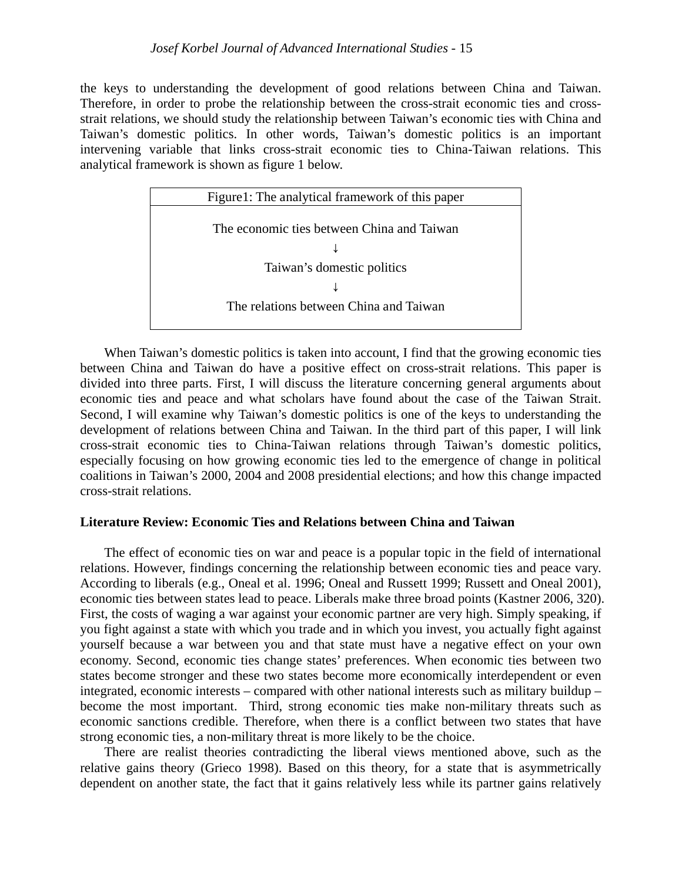the keys to understanding the development of good relations between China and Taiwan. Therefore, in order to probe the relationship between the cross-strait economic ties and crossstrait relations, we should study the relationship between Taiwan's economic ties with China and Taiwan's domestic politics. In other words, Taiwan's domestic politics is an important intervening variable that links cross-strait economic ties to China-Taiwan relations. This analytical framework is shown as figure 1 below.



When Taiwan's domestic politics is taken into account, I find that the growing economic ties between China and Taiwan do have a positive effect on cross-strait relations. This paper is divided into three parts. First, I will discuss the literature concerning general arguments about economic ties and peace and what scholars have found about the case of the Taiwan Strait. Second, I will examine why Taiwan's domestic politics is one of the keys to understanding the development of relations between China and Taiwan. In the third part of this paper, I will link cross-strait economic ties to China-Taiwan relations through Taiwan's domestic politics, especially focusing on how growing economic ties led to the emergence of change in political coalitions in Taiwan's 2000, 2004 and 2008 presidential elections; and how this change impacted cross-strait relations.

### **Literature Review: Economic Ties and Relations between China and Taiwan**

The effect of economic ties on war and peace is a popular topic in the field of international relations. However, findings concerning the relationship between economic ties and peace vary. According to liberals (e.g., Oneal et al. 1996; Oneal and Russett 1999; Russett and Oneal 2001), economic ties between states lead to peace. Liberals make three broad points (Kastner 2006, 320). First, the costs of waging a war against your economic partner are very high. Simply speaking, if you fight against a state with which you trade and in which you invest, you actually fight against yourself because a war between you and that state must have a negative effect on your own economy. Second, economic ties change states' preferences. When economic ties between two states become stronger and these two states become more economically interdependent or even integrated, economic interests – compared with other national interests such as military buildup – become the most important. Third, strong economic ties make non-military threats such as economic sanctions credible. Therefore, when there is a conflict between two states that have strong economic ties, a non-military threat is more likely to be the choice.

There are realist theories contradicting the liberal views mentioned above, such as the relative gains theory (Grieco 1998). Based on this theory, for a state that is asymmetrically dependent on another state, the fact that it gains relatively less while its partner gains relatively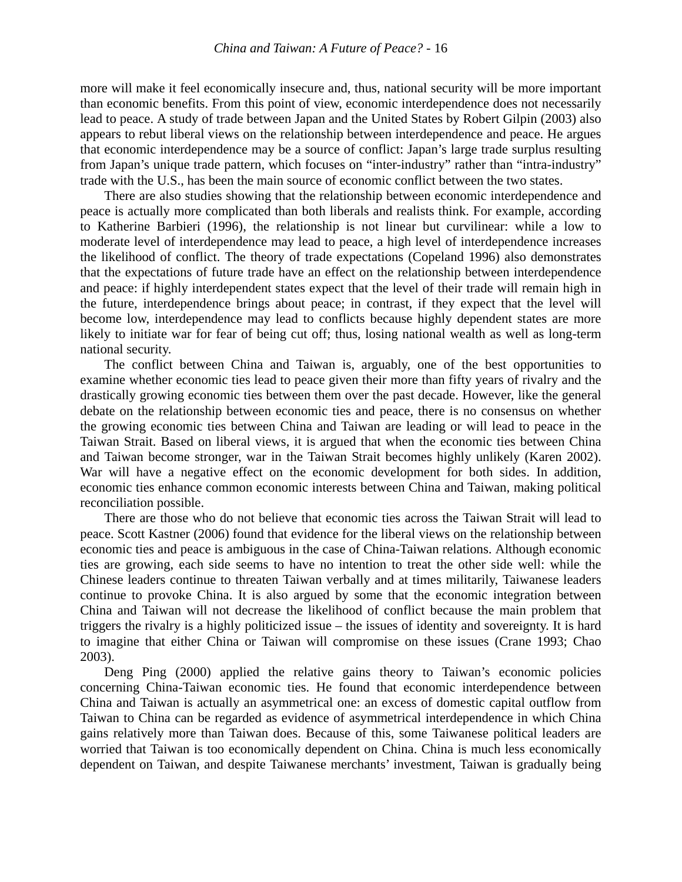more will make it feel economically insecure and, thus, national security will be more important than economic benefits. From this point of view, economic interdependence does not necessarily lead to peace. A study of trade between Japan and the United States by Robert Gilpin (2003) also appears to rebut liberal views on the relationship between interdependence and peace. He argues that economic interdependence may be a source of conflict: Japan's large trade surplus resulting from Japan's unique trade pattern, which focuses on "inter-industry" rather than "intra-industry" trade with the U.S., has been the main source of economic conflict between the two states.

There are also studies showing that the relationship between economic interdependence and peace is actually more complicated than both liberals and realists think. For example, according to Katherine Barbieri (1996), the relationship is not linear but curvilinear: while a low to moderate level of interdependence may lead to peace, a high level of interdependence increases the likelihood of conflict. The theory of trade expectations (Copeland 1996) also demonstrates that the expectations of future trade have an effect on the relationship between interdependence and peace: if highly interdependent states expect that the level of their trade will remain high in the future, interdependence brings about peace; in contrast, if they expect that the level will become low, interdependence may lead to conflicts because highly dependent states are more likely to initiate war for fear of being cut off; thus, losing national wealth as well as long-term national security.

The conflict between China and Taiwan is, arguably, one of the best opportunities to examine whether economic ties lead to peace given their more than fifty years of rivalry and the drastically growing economic ties between them over the past decade. However, like the general debate on the relationship between economic ties and peace, there is no consensus on whether the growing economic ties between China and Taiwan are leading or will lead to peace in the Taiwan Strait. Based on liberal views, it is argued that when the economic ties between China and Taiwan become stronger, war in the Taiwan Strait becomes highly unlikely (Karen 2002). War will have a negative effect on the economic development for both sides. In addition, economic ties enhance common economic interests between China and Taiwan, making political reconciliation possible.

There are those who do not believe that economic ties across the Taiwan Strait will lead to peace. Scott Kastner (2006) found that evidence for the liberal views on the relationship between economic ties and peace is ambiguous in the case of China-Taiwan relations. Although economic ties are growing, each side seems to have no intention to treat the other side well: while the Chinese leaders continue to threaten Taiwan verbally and at times militarily, Taiwanese leaders continue to provoke China. It is also argued by some that the economic integration between China and Taiwan will not decrease the likelihood of conflict because the main problem that triggers the rivalry is a highly politicized issue – the issues of identity and sovereignty. It is hard to imagine that either China or Taiwan will compromise on these issues (Crane 1993; Chao 2003).

Deng Ping (2000) applied the relative gains theory to Taiwan's economic policies concerning China-Taiwan economic ties. He found that economic interdependence between China and Taiwan is actually an asymmetrical one: an excess of domestic capital outflow from Taiwan to China can be regarded as evidence of asymmetrical interdependence in which China gains relatively more than Taiwan does. Because of this, some Taiwanese political leaders are worried that Taiwan is too economically dependent on China. China is much less economically dependent on Taiwan, and despite Taiwanese merchants' investment, Taiwan is gradually being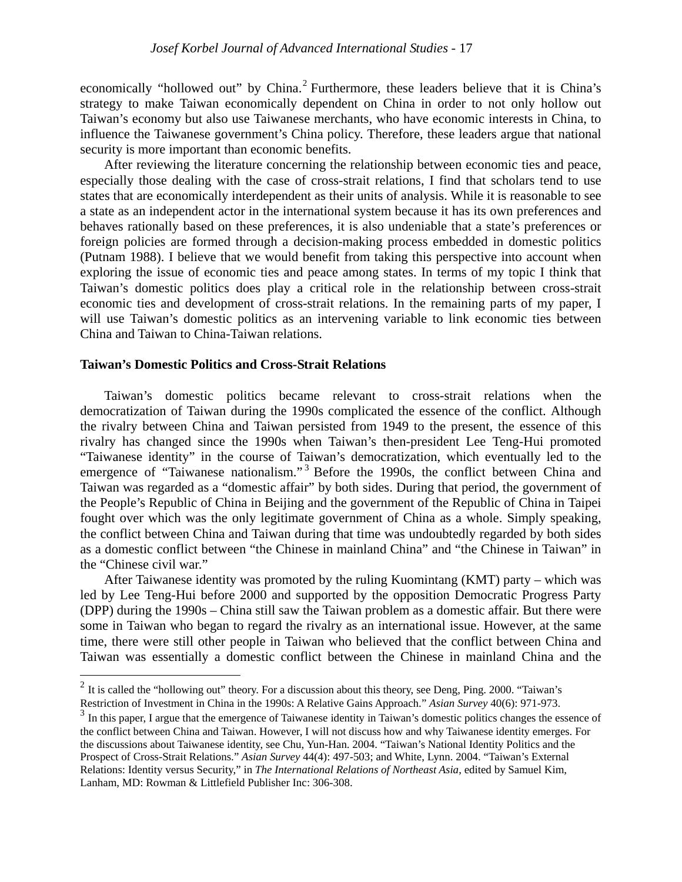economically "hollowed out" by China.<sup>[2](#page-5-0)</sup> Furthermore, these leaders believe that it is China's strategy to make Taiwan economically dependent on China in order to not only hollow out Taiwan's economy but also use Taiwanese merchants, who have economic interests in China, to influence the Taiwanese government's China policy. Therefore, these leaders argue that national security is more important than economic benefits.

After reviewing the literature concerning the relationship between economic ties and peace, especially those dealing with the case of cross-strait relations, I find that scholars tend to use states that are economically interdependent as their units of analysis. While it is reasonable to see a state as an independent actor in the international system because it has its own preferences and behaves rationally based on these preferences, it is also undeniable that a state's preferences or foreign policies are formed through a decision-making process embedded in domestic politics (Putnam 1988). I believe that we would benefit from taking this perspective into account when exploring the issue of economic ties and peace among states. In terms of my topic I think that Taiwan's domestic politics does play a critical role in the relationship between cross-strait economic ties and development of cross-strait relations. In the remaining parts of my paper, I will use Taiwan's domestic politics as an intervening variable to link economic ties between China and Taiwan to China-Taiwan relations.

#### **Taiwan's Domestic Politics and Cross-Strait Relations**

Taiwan's domestic politics became relevant to cross-strait relations when the democratization of Taiwan during the 1990s complicated the essence of the conflict. Although the rivalry between China and Taiwan persisted from 1949 to the present, the essence of this rivalry has changed since the 1990s when Taiwan's then-president Lee Teng-Hui promoted "Taiwanese identity" in the course of Taiwan's democratization, which eventually led to the emergence of "Taiwanese nationalism."<sup>[3](#page-5-1)</sup> Before the 1990s, the conflict between China and Taiwan was regarded as a "domestic affair" by both sides. During that period, the government of the People's Republic of China in Beijing and the government of the Republic of China in Taipei fought over which was the only legitimate government of China as a whole. Simply speaking, the conflict between China and Taiwan during that time was undoubtedly regarded by both sides as a domestic conflict between "the Chinese in mainland China" and "the Chinese in Taiwan" in the "Chinese civil war."

After Taiwanese identity was promoted by the ruling Kuomintang (KMT) party – which was led by Lee Teng-Hui before 2000 and supported by the opposition Democratic Progress Party (DPP) during the 1990s – China still saw the Taiwan problem as a domestic affair. But there were some in Taiwan who began to regard the rivalry as an international issue. However, at the same time, there were still other people in Taiwan who believed that the conflict between China and Taiwan was essentially a domestic conflict between the Chinese in mainland China and the

<span id="page-5-0"></span><sup>&</sup>lt;sup>2</sup> It is called the "hollowing out" theory. For a discussion about this theory, see Deng, Ping. 2000. "Taiwan's Restriction of Investment in China in the 1990s: A Relative Gains Approach." *Asian Survey* 40(6): 971-973.

<span id="page-5-1"></span><sup>&</sup>lt;sup>3</sup> In this paper, I argue that the emergence of Taiwanese identity in Taiwan's domestic politics changes the essence of the conflict between China and Taiwan. However, I will not discuss how and why Taiwanese identity emerges. For the discussions about Taiwanese identity, see Chu, Yun-Han. 2004. "Taiwan's National Identity Politics and the Prospect of Cross-Strait Relations." *Asian Survey* 44(4): 497-503; and White, Lynn. 2004. "Taiwan's External Relations: Identity versus Security," in *The International Relations of Northeast Asia*, edited by Samuel Kim, Lanham, MD: Rowman & Littlefield Publisher Inc: 306-308.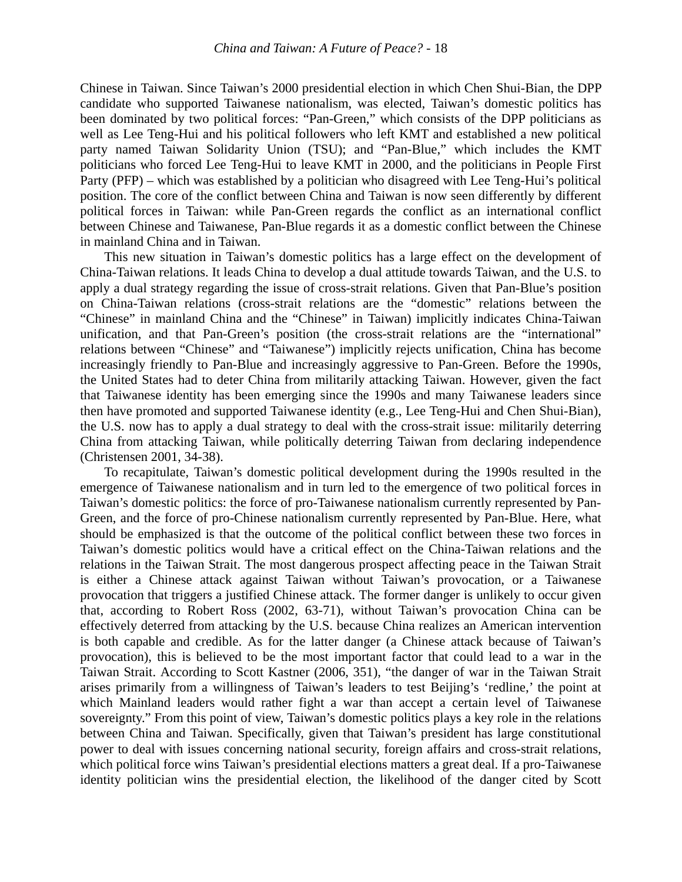Chinese in Taiwan. Since Taiwan's 2000 presidential election in which Chen Shui-Bian, the DPP candidate who supported Taiwanese nationalism, was elected, Taiwan's domestic politics has been dominated by two political forces: "Pan-Green," which consists of the DPP politicians as well as Lee Teng-Hui and his political followers who left KMT and established a new political party named Taiwan Solidarity Union (TSU); and "Pan-Blue," which includes the KMT politicians who forced Lee Teng-Hui to leave KMT in 2000, and the politicians in People First Party (PFP) – which was established by a politician who disagreed with Lee Teng-Hui's political position. The core of the conflict between China and Taiwan is now seen differently by different political forces in Taiwan: while Pan-Green regards the conflict as an international conflict between Chinese and Taiwanese, Pan-Blue regards it as a domestic conflict between the Chinese in mainland China and in Taiwan.

This new situation in Taiwan's domestic politics has a large effect on the development of China-Taiwan relations. It leads China to develop a dual attitude towards Taiwan, and the U.S. to apply a dual strategy regarding the issue of cross-strait relations. Given that Pan-Blue's position on China-Taiwan relations (cross-strait relations are the "domestic" relations between the "Chinese" in mainland China and the "Chinese" in Taiwan) implicitly indicates China-Taiwan unification, and that Pan-Green's position (the cross-strait relations are the "international" relations between "Chinese" and "Taiwanese") implicitly rejects unification, China has become increasingly friendly to Pan-Blue and increasingly aggressive to Pan-Green. Before the 1990s, the United States had to deter China from militarily attacking Taiwan. However, given the fact that Taiwanese identity has been emerging since the 1990s and many Taiwanese leaders since then have promoted and supported Taiwanese identity (e.g., Lee Teng-Hui and Chen Shui-Bian), the U.S. now has to apply a dual strategy to deal with the cross-strait issue: militarily deterring China from attacking Taiwan, while politically deterring Taiwan from declaring independence (Christensen 2001, 34-38).

To recapitulate, Taiwan's domestic political development during the 1990s resulted in the emergence of Taiwanese nationalism and in turn led to the emergence of two political forces in Taiwan's domestic politics: the force of pro-Taiwanese nationalism currently represented by Pan-Green, and the force of pro-Chinese nationalism currently represented by Pan-Blue. Here, what should be emphasized is that the outcome of the political conflict between these two forces in Taiwan's domestic politics would have a critical effect on the China-Taiwan relations and the relations in the Taiwan Strait. The most dangerous prospect affecting peace in the Taiwan Strait is either a Chinese attack against Taiwan without Taiwan's provocation, or a Taiwanese provocation that triggers a justified Chinese attack. The former danger is unlikely to occur given that, according to Robert Ross (2002, 63-71), without Taiwan's provocation China can be effectively deterred from attacking by the U.S. because China realizes an American intervention is both capable and credible. As for the latter danger (a Chinese attack because of Taiwan's provocation), this is believed to be the most important factor that could lead to a war in the Taiwan Strait. According to Scott Kastner (2006, 351), "the danger of war in the Taiwan Strait arises primarily from a willingness of Taiwan's leaders to test Beijing's 'redline,' the point at which Mainland leaders would rather fight a war than accept a certain level of Taiwanese sovereignty." From this point of view, Taiwan's domestic politics plays a key role in the relations between China and Taiwan. Specifically, given that Taiwan's president has large constitutional power to deal with issues concerning national security, foreign affairs and cross-strait relations, which political force wins Taiwan's presidential elections matters a great deal. If a pro-Taiwanese identity politician wins the presidential election, the likelihood of the danger cited by Scott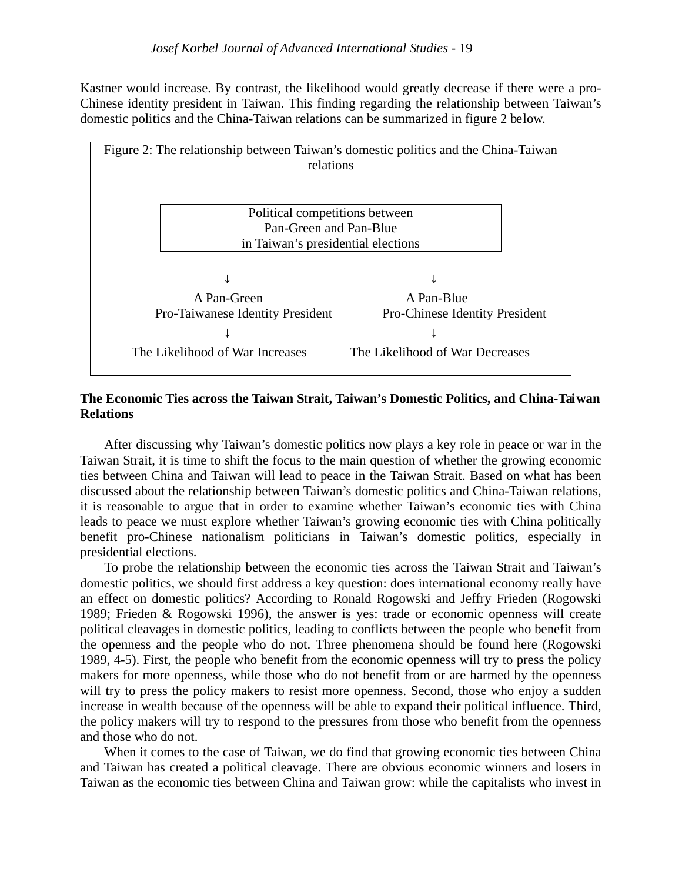Kastner would increase. By contrast, the likelihood would greatly decrease if there were a pro-Chinese identity president in Taiwan. This finding regarding the relationship between Taiwan's domestic politics and the China-Taiwan relations can be summarized in figure 2 below.



### **The Economic Ties across the Taiwan Strait, Taiwan's Domestic Politics, and China-Taiwan Relations**

After discussing why Taiwan's domestic politics now plays a key role in peace or war in the Taiwan Strait, it is time to shift the focus to the main question of whether the growing economic ties between China and Taiwan will lead to peace in the Taiwan Strait. Based on what has been discussed about the relationship between Taiwan's domestic politics and China-Taiwan relations, it is reasonable to argue that in order to examine whether Taiwan's economic ties with China leads to peace we must explore whether Taiwan's growing economic ties with China politically benefit pro-Chinese nationalism politicians in Taiwan's domestic politics, especially in presidential elections.

To probe the relationship between the economic ties across the Taiwan Strait and Taiwan's domestic politics, we should first address a key question: does international economy really have an effect on domestic politics? According to Ronald Rogowski and Jeffry Frieden (Rogowski 1989; Frieden & Rogowski 1996), the answer is yes: trade or economic openness will create political cleavages in domestic politics, leading to conflicts between the people who benefit from the openness and the people who do not. Three phenomena should be found here (Rogowski 1989, 4-5). First, the people who benefit from the economic openness will try to press the policy makers for more openness, while those who do not benefit from or are harmed by the openness will try to press the policy makers to resist more openness. Second, those who enjoy a sudden increase in wealth because of the openness will be able to expand their political influence. Third, the policy makers will try to respond to the pressures from those who benefit from the openness and those who do not.

When it comes to the case of Taiwan, we do find that growing economic ties between China and Taiwan has created a political cleavage. There are obvious economic winners and losers in Taiwan as the economic ties between China and Taiwan grow: while the capitalists who invest in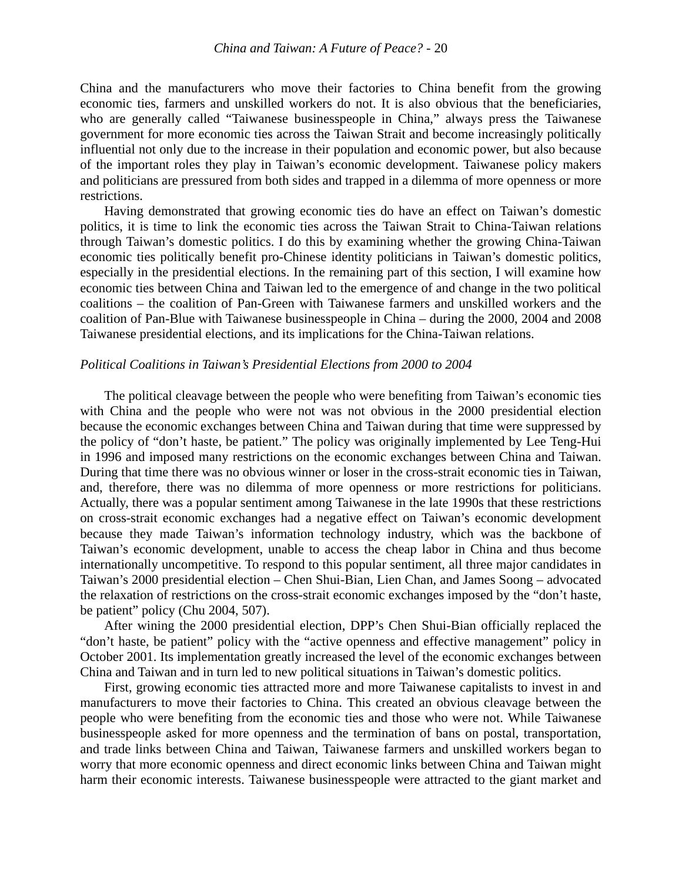China and the manufacturers who move their factories to China benefit from the growing economic ties, farmers and unskilled workers do not. It is also obvious that the beneficiaries, who are generally called "Taiwanese businesspeople in China," always press the Taiwanese government for more economic ties across the Taiwan Strait and become increasingly politically influential not only due to the increase in their population and economic power, but also because of the important roles they play in Taiwan's economic development. Taiwanese policy makers and politicians are pressured from both sides and trapped in a dilemma of more openness or more restrictions.

Having demonstrated that growing economic ties do have an effect on Taiwan's domestic politics, it is time to link the economic ties across the Taiwan Strait to China-Taiwan relations through Taiwan's domestic politics. I do this by examining whether the growing China-Taiwan economic ties politically benefit pro-Chinese identity politicians in Taiwan's domestic politics, especially in the presidential elections. In the remaining part of this section, I will examine how economic ties between China and Taiwan led to the emergence of and change in the two political coalitions – the coalition of Pan-Green with Taiwanese farmers and unskilled workers and the coalition of Pan-Blue with Taiwanese businesspeople in China – during the 2000, 2004 and 2008 Taiwanese presidential elections, and its implications for the China-Taiwan relations.

#### *Political Coalitions in Taiwan's Presidential Elections from 2000 to 2004*

The political cleavage between the people who were benefiting from Taiwan's economic ties with China and the people who were not was not obvious in the 2000 presidential election because the economic exchanges between China and Taiwan during that time were suppressed by the policy of "don't haste, be patient." The policy was originally implemented by Lee Teng-Hui in 1996 and imposed many restrictions on the economic exchanges between China and Taiwan. During that time there was no obvious winner or loser in the cross-strait economic ties in Taiwan, and, therefore, there was no dilemma of more openness or more restrictions for politicians. Actually, there was a popular sentiment among Taiwanese in the late 1990s that these restrictions on cross-strait economic exchanges had a negative effect on Taiwan's economic development because they made Taiwan's information technology industry, which was the backbone of Taiwan's economic development, unable to access the cheap labor in China and thus become internationally uncompetitive. To respond to this popular sentiment, all three major candidates in Taiwan's 2000 presidential election – Chen Shui-Bian, Lien Chan, and James Soong – advocated the relaxation of restrictions on the cross-strait economic exchanges imposed by the "don't haste, be patient" policy (Chu 2004, 507).

After wining the 2000 presidential election, DPP's Chen Shui-Bian officially replaced the "don't haste, be patient" policy with the "active openness and effective management" policy in October 2001. Its implementation greatly increased the level of the economic exchanges between China and Taiwan and in turn led to new political situations in Taiwan's domestic politics.

First, growing economic ties attracted more and more Taiwanese capitalists to invest in and manufacturers to move their factories to China. This created an obvious cleavage between the people who were benefiting from the economic ties and those who were not. While Taiwanese businesspeople asked for more openness and the termination of bans on postal, transportation, and trade links between China and Taiwan, Taiwanese farmers and unskilled workers began to worry that more economic openness and direct economic links between China and Taiwan might harm their economic interests. Taiwanese businesspeople were attracted to the giant market and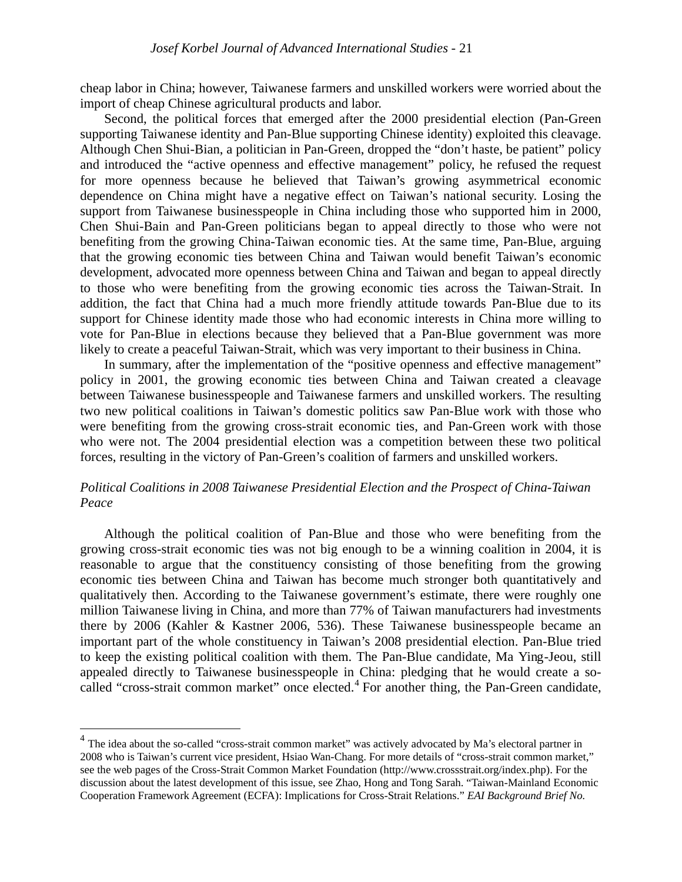cheap labor in China; however, Taiwanese farmers and unskilled workers were worried about the import of cheap Chinese agricultural products and labor.

Second, the political forces that emerged after the 2000 presidential election (Pan-Green supporting Taiwanese identity and Pan-Blue supporting Chinese identity) exploited this cleavage. Although Chen Shui-Bian, a politician in Pan-Green, dropped the "don't haste, be patient" policy and introduced the "active openness and effective management" policy, he refused the request for more openness because he believed that Taiwan's growing asymmetrical economic dependence on China might have a negative effect on Taiwan's national security. Losing the support from Taiwanese businesspeople in China including those who supported him in 2000, Chen Shui-Bain and Pan-Green politicians began to appeal directly to those who were not benefiting from the growing China-Taiwan economic ties. At the same time, Pan-Blue, arguing that the growing economic ties between China and Taiwan would benefit Taiwan's economic development, advocated more openness between China and Taiwan and began to appeal directly to those who were benefiting from the growing economic ties across the Taiwan-Strait. In addition, the fact that China had a much more friendly attitude towards Pan-Blue due to its support for Chinese identity made those who had economic interests in China more willing to vote for Pan-Blue in elections because they believed that a Pan-Blue government was more likely to create a peaceful Taiwan-Strait, which was very important to their business in China.

In summary, after the implementation of the "positive openness and effective management" policy in 2001, the growing economic ties between China and Taiwan created a cleavage between Taiwanese businesspeople and Taiwanese farmers and unskilled workers. The resulting two new political coalitions in Taiwan's domestic politics saw Pan-Blue work with those who were benefiting from the growing cross-strait economic ties, and Pan-Green work with those who were not. The 2004 presidential election was a competition between these two political forces, resulting in the victory of Pan-Green's coalition of farmers and unskilled workers.

#### *Political Coalitions in 2008 Taiwanese Presidential Election and the Prospect of China-Taiwan Peace*

Although the political coalition of Pan-Blue and those who were benefiting from the growing cross-strait economic ties was not big enough to be a winning coalition in 2004, it is reasonable to argue that the constituency consisting of those benefiting from the growing economic ties between China and Taiwan has become much stronger both quantitatively and qualitatively then. According to the Taiwanese government's estimate, there were roughly one million Taiwanese living in China, and more than 77% of Taiwan manufacturers had investments there by 2006 (Kahler & Kastner 2006, 536). These Taiwanese businesspeople became an important part of the whole constituency in Taiwan's 2008 presidential election. Pan-Blue tried to keep the existing political coalition with them. The Pan-Blue candidate, Ma Ying-Jeou, still appealed directly to Taiwanese businesspeople in China: pledging that he would create a so-called "cross-strait common market" once elected.<sup>[4](#page-9-0)</sup> For another thing, the Pan-Green candidate,

<span id="page-9-0"></span><sup>&</sup>lt;sup>4</sup> The idea about the so-called "cross-strait common market" was actively advocated by Ma's electoral partner in 2008 who is Taiwan's current vice president, Hsiao Wan-Chang. For more details of "cross-strait common market," see the web pages of the Cross-Strait Common Market Foundation (http://www.crossstrait.org/index.php). For the discussion about the latest development of this issue, see Zhao, Hong and Tong Sarah. "Taiwan-Mainland Economic Cooperation Framework Agreement (ECFA): Implications for Cross-Strait Relations." *EAI Background Brief No.*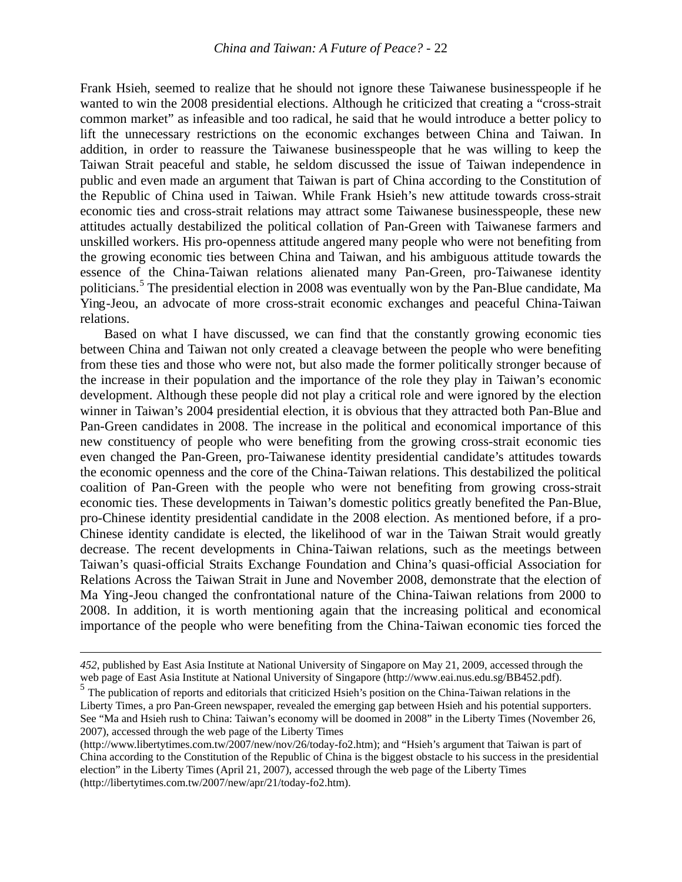Frank Hsieh, seemed to realize that he should not ignore these Taiwanese businesspeople if he wanted to win the 2008 presidential elections. Although he criticized that creating a "cross-strait common market" as infeasible and too radical, he said that he would introduce a better policy to lift the unnecessary restrictions on the economic exchanges between China and Taiwan. In addition, in order to reassure the Taiwanese businesspeople that he was willing to keep the Taiwan Strait peaceful and stable, he seldom discussed the issue of Taiwan independence in public and even made an argument that Taiwan is part of China according to the Constitution of the Republic of China used in Taiwan. While Frank Hsieh's new attitude towards cross-strait economic ties and cross-strait relations may attract some Taiwanese businesspeople, these new attitudes actually destabilized the political collation of Pan-Green with Taiwanese farmers and unskilled workers. His pro-openness attitude angered many people who were not benefiting from the growing economic ties between China and Taiwan, and his ambiguous attitude towards the essence of the China-Taiwan relations alienated many Pan-Green, pro-Taiwanese identity politicians. [5](#page-10-0) The presidential election in 2008 was eventually won by the Pan-Blue candidate, Ma Ying-Jeou, an advocate of more cross-strait economic exchanges and peaceful China-Taiwan relations.

Based on what I have discussed, we can find that the constantly growing economic ties between China and Taiwan not only created a cleavage between the people who were benefiting from these ties and those who were not, but also made the former politically stronger because of the increase in their population and the importance of the role they play in Taiwan's economic development. Although these people did not play a critical role and were ignored by the election winner in Taiwan's 2004 presidential election, it is obvious that they attracted both Pan-Blue and Pan-Green candidates in 2008. The increase in the political and economical importance of this new constituency of people who were benefiting from the growing cross-strait economic ties even changed the Pan-Green, pro-Taiwanese identity presidential candidate's attitudes towards the economic openness and the core of the China-Taiwan relations. This destabilized the political coalition of Pan-Green with the people who were not benefiting from growing cross-strait economic ties. These developments in Taiwan's domestic politics greatly benefited the Pan-Blue, pro-Chinese identity presidential candidate in the 2008 election. As mentioned before, if a pro-Chinese identity candidate is elected, the likelihood of war in the Taiwan Strait would greatly decrease. The recent developments in China-Taiwan relations, such as the meetings between Taiwan's quasi-official Straits Exchange Foundation and China's quasi-official Association for Relations Across the Taiwan Strait in June and November 2008, demonstrate that the election of Ma Ying-Jeou changed the confrontational nature of the China-Taiwan relations from 2000 to 2008. In addition, it is worth mentioning again that the increasing political and economical importance of the people who were benefiting from the China-Taiwan economic ties forced the

 $\overline{a}$ 

*<sup>452</sup>*, published by East Asia Institute at National University of Singapore on May 21, 2009, accessed through the web page of East Asia Institute at National University of Singapore (http://www.eai.nus.edu.sg/BB452.pdf).

<span id="page-10-0"></span><sup>&</sup>lt;sup>5</sup> The publication of reports and editorials that criticized Hsieh's position on the China-Taiwan relations in the Liberty Times, a pro Pan-Green newspaper, revealed the emerging gap between Hsieh and his potential supporters. See "Ma and Hsieh rush to China: Taiwan's economy will be doomed in 2008" in the Liberty Times (November 26, 2007), accessed through the web page of the Liberty Times

<sup>(</sup>http://www.libertytimes.com.tw/2007/new/nov/26/today-fo2.htm); and "Hsieh's argument that Taiwan is part of China according to the Constitution of the Republic of China is the biggest obstacle to his success in the presidential election" in the Liberty Times (April 21, 2007), accessed through the web page of the Liberty Times (http://libertytimes.com.tw/2007/new/apr/21/today-fo2.htm).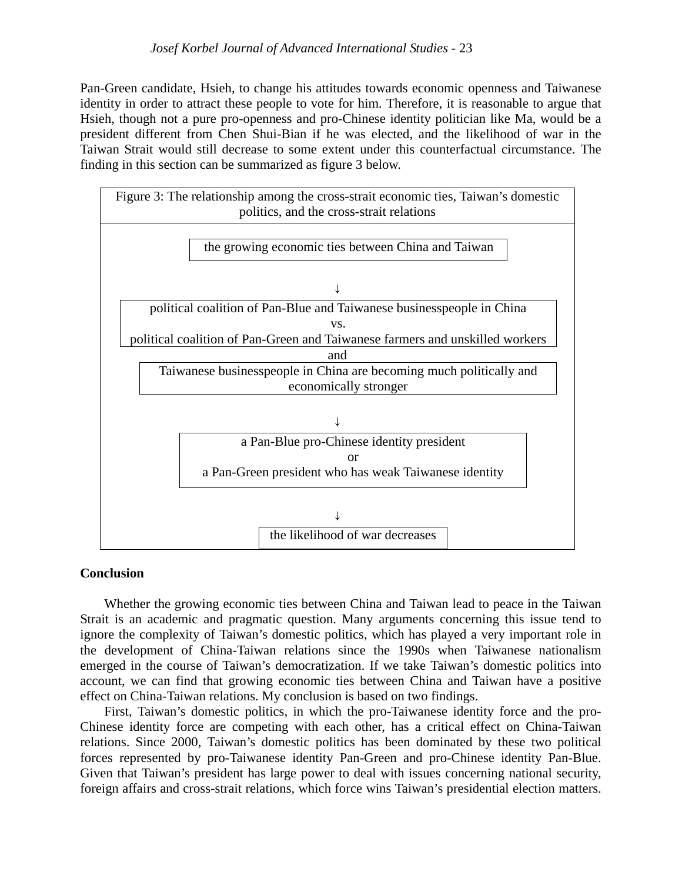Pan-Green candidate, Hsieh, to change his attitudes towards economic openness and Taiwanese identity in order to attract these people to vote for him. Therefore, it is reasonable to argue that Hsieh, though not a pure pro-openness and pro-Chinese identity politician like Ma, would be a president different from Chen Shui-Bian if he was elected, and the likelihood of war in the Taiwan Strait would still decrease to some extent under this counterfactual circumstance. The finding in this section can be summarized as figure 3 below.



#### **Conclusion**

Whether the growing economic ties between China and Taiwan lead to peace in the Taiwan Strait is an academic and pragmatic question. Many arguments concerning this issue tend to ignore the complexity of Taiwan's domestic politics, which has played a very important role in the development of China-Taiwan relations since the 1990s when Taiwanese nationalism emerged in the course of Taiwan's democratization. If we take Taiwan's domestic politics into account, we can find that growing economic ties between China and Taiwan have a positive effect on China-Taiwan relations. My conclusion is based on two findings.

First, Taiwan's domestic politics, in which the pro-Taiwanese identity force and the pro-Chinese identity force are competing with each other, has a critical effect on China-Taiwan relations. Since 2000, Taiwan's domestic politics has been dominated by these two political forces represented by pro-Taiwanese identity Pan-Green and pro-Chinese identity Pan-Blue. Given that Taiwan's president has large power to deal with issues concerning national security, foreign affairs and cross-strait relations, which force wins Taiwan's presidential election matters.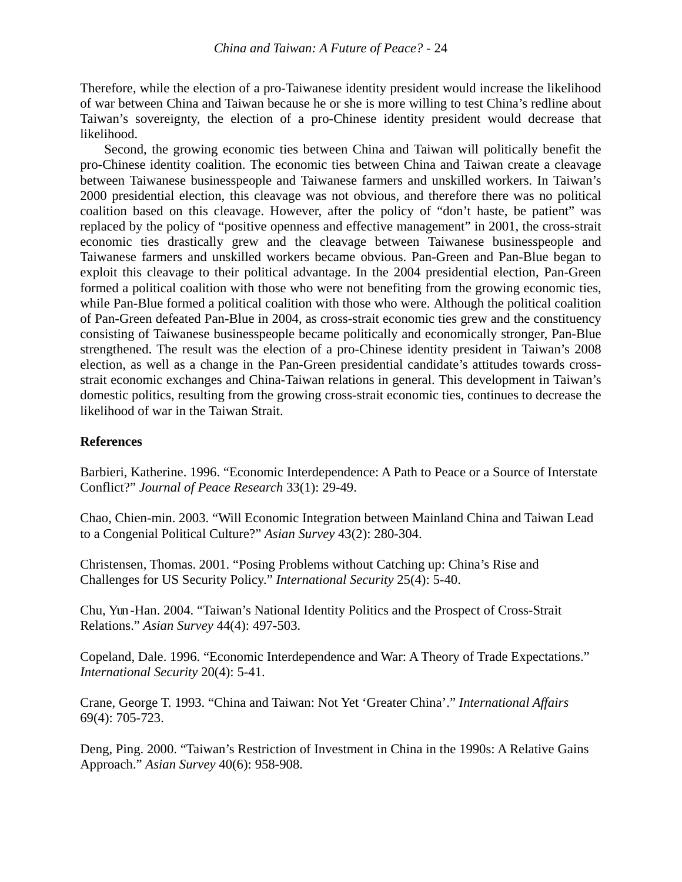Therefore, while the election of a pro-Taiwanese identity president would increase the likelihood of war between China and Taiwan because he or she is more willing to test China's redline about Taiwan's sovereignty, the election of a pro-Chinese identity president would decrease that likelihood.

Second, the growing economic ties between China and Taiwan will politically benefit the pro-Chinese identity coalition. The economic ties between China and Taiwan create a cleavage between Taiwanese businesspeople and Taiwanese farmers and unskilled workers. In Taiwan's 2000 presidential election, this cleavage was not obvious, and therefore there was no political coalition based on this cleavage. However, after the policy of "don't haste, be patient" was replaced by the policy of "positive openness and effective management" in 2001, the cross-strait economic ties drastically grew and the cleavage between Taiwanese businesspeople and Taiwanese farmers and unskilled workers became obvious. Pan-Green and Pan-Blue began to exploit this cleavage to their political advantage. In the 2004 presidential election, Pan-Green formed a political coalition with those who were not benefiting from the growing economic ties, while Pan-Blue formed a political coalition with those who were. Although the political coalition of Pan-Green defeated Pan-Blue in 2004, as cross-strait economic ties grew and the constituency consisting of Taiwanese businesspeople became politically and economically stronger, Pan-Blue strengthened. The result was the election of a pro-Chinese identity president in Taiwan's 2008 election, as well as a change in the Pan-Green presidential candidate's attitudes towards crossstrait economic exchanges and China-Taiwan relations in general. This development in Taiwan's domestic politics, resulting from the growing cross-strait economic ties, continues to decrease the likelihood of war in the Taiwan Strait.

### **References**

Barbieri, Katherine. 1996. "Economic Interdependence: A Path to Peace or a Source of Interstate Conflict?" *Journal of Peace Research* 33(1): 29-49.

Chao, Chien-min. 2003. "Will Economic Integration between Mainland China and Taiwan Lead to a Congenial Political Culture?" *Asian Survey* 43(2): 280-304.

Christensen, Thomas. 2001. "Posing Problems without Catching up: China's Rise and Challenges for US Security Policy." *International Security* 25(4): 5-40.

Chu, Yun-Han. 2004. "Taiwan's National Identity Politics and the Prospect of Cross-Strait Relations." *Asian Survey* 44(4): 497-503.

Copeland, Dale. 1996. "Economic Interdependence and War: A Theory of Trade Expectations." *International Security* 20(4): 5-41.

Crane, George T. 1993. "China and Taiwan: Not Yet 'Greater China'." *International Affairs* 69(4): 705-723.

Deng, Ping. 2000. "Taiwan's Restriction of Investment in China in the 1990s: A Relative Gains Approach." *Asian Survey* 40(6): 958-908.